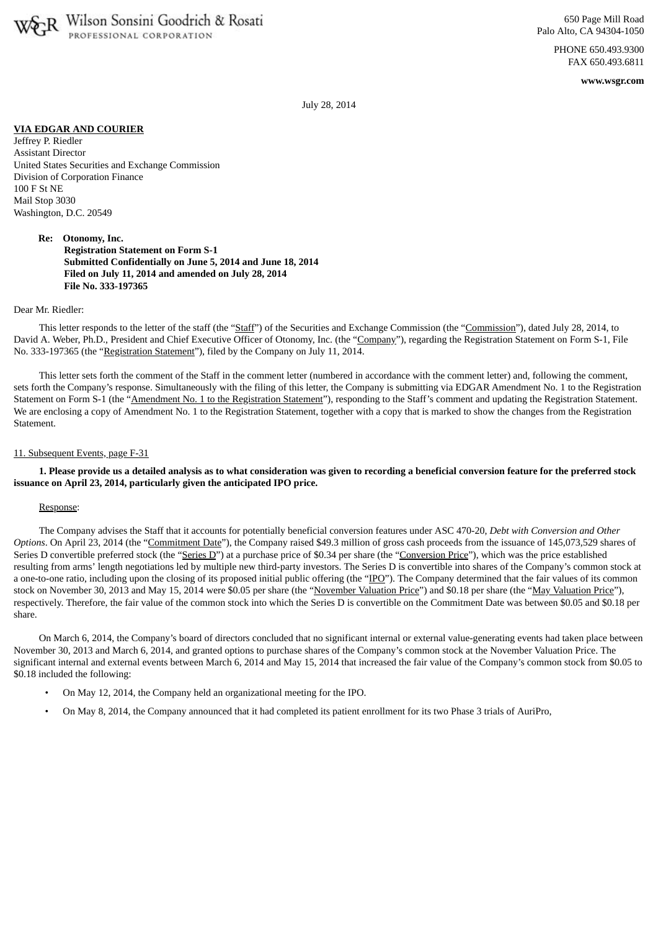

PHONE 650.493.9300 FAX 650.493.6811

**www.wsgr.com**

July 28, 2014

## **VIA EDGAR AND COURIER**

Jeffrey P. Riedler Assistant Director United States Securities and Exchange Commission Division of Corporation Finance 100 F St NE Mail Stop 3030 Washington, D.C. 20549

> **Re: Otonomy, Inc. Registration Statement on Form S-1 Submitted Confidentially on June 5, 2014 and June 18, 2014 Filed on July 11, 2014 and amended on July 28, 2014 File No. 333-197365**

## Dear Mr. Riedler:

This letter responds to the letter of the staff (the "Staff") of the Securities and Exchange Commission (the "Commission"), dated July 28, 2014, to David A. Weber, Ph.D., President and Chief Executive Officer of Otonomy, Inc. (the "Company"), regarding the Registration Statement on Form S-1, File No. 333-197365 (the "Registration Statement"), filed by the Company on July 11, 2014.

This letter sets forth the comment of the Staff in the comment letter (numbered in accordance with the comment letter) and, following the comment, sets forth the Company's response. Simultaneously with the filing of this letter, the Company is submitting via EDGAR Amendment No. 1 to the Registration Statement on Form S-1 (the "Amendment No. 1 to the Registration Statement"), responding to the Staff's comment and updating the Registration Statement. We are enclosing a copy of Amendment No. 1 to the Registration Statement, together with a copy that is marked to show the changes from the Registration Statement.

## 11. Subsequent Events, page F-31

1. Please provide us a detailed analysis as to what consideration was given to recording a beneficial conversion feature for the preferred stock **issuance on April 23, 2014, particularly given the anticipated IPO price.**

## Response:

The Company advises the Staff that it accounts for potentially beneficial conversion features under ASC 470-20, *Debt with Conversion and Other Options*. On April 23, 2014 (the "Commitment Date"), the Company raised \$49.3 million of gross cash proceeds from the issuance of 145,073,529 shares of Series D convertible preferred stock (the "Series D") at a purchase price of \$0.34 per share (the "Conversion Price"), which was the price established resulting from arms' length negotiations led by multiple new third-party investors. The Series D is convertible into shares of the Company's common stock at a one-to-one ratio, including upon the closing of its proposed initial public offering (the "IPO"). The Company determined that the fair values of its common stock on November 30, 2013 and May 15, 2014 were \$0.05 per share (the "November Valuation Price") and \$0.18 per share (the "May Valuation Price"), respectively. Therefore, the fair value of the common stock into which the Series D is convertible on the Commitment Date was between \$0.05 and \$0.18 per share.

On March 6, 2014, the Company's board of directors concluded that no significant internal or external value-generating events had taken place between November 30, 2013 and March 6, 2014, and granted options to purchase shares of the Company's common stock at the November Valuation Price. The significant internal and external events between March 6, 2014 and May 15, 2014 that increased the fair value of the Company's common stock from \$0.05 to \$0.18 included the following:

- On May 12, 2014, the Company held an organizational meeting for the IPO.
- On May 8, 2014, the Company announced that it had completed its patient enrollment for its two Phase 3 trials of AuriPro,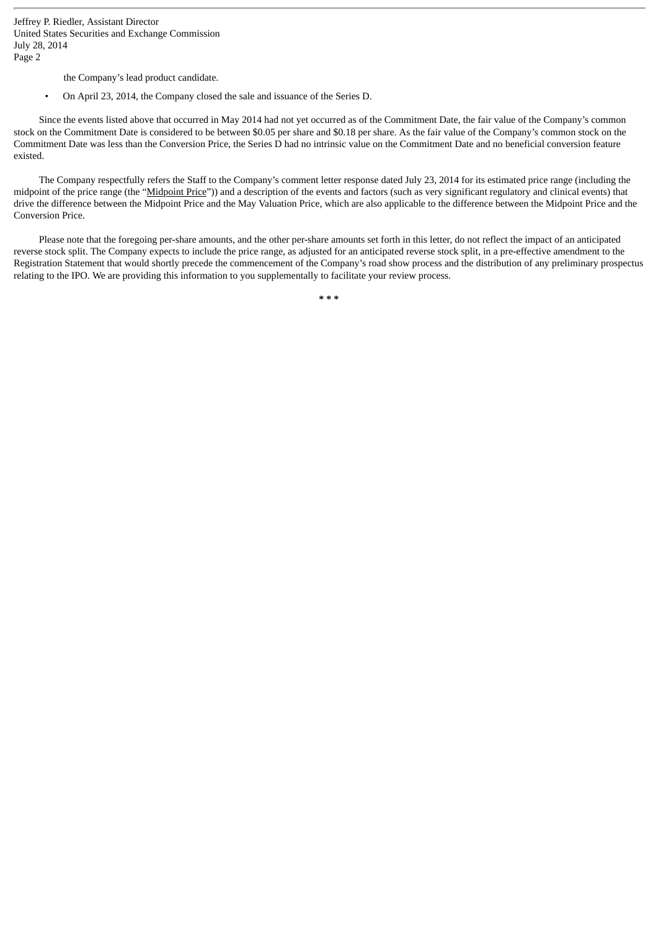Jeffrey P. Riedler, Assistant Director United States Securities and Exchange Commission July 28, 2014 Page 2

the Company's lead product candidate.

• On April 23, 2014, the Company closed the sale and issuance of the Series D.

Since the events listed above that occurred in May 2014 had not yet occurred as of the Commitment Date, the fair value of the Company's common stock on the Commitment Date is considered to be between \$0.05 per share and \$0.18 per share. As the fair value of the Company's common stock on the Commitment Date was less than the Conversion Price, the Series D had no intrinsic value on the Commitment Date and no beneficial conversion feature existed.

The Company respectfully refers the Staff to the Company's comment letter response dated July 23, 2014 for its estimated price range (including the midpoint of the price range (the "Midpoint Price")) and a description of the events and factors (such as very significant regulatory and clinical events) that drive the difference between the Midpoint Price and the May Valuation Price, which are also applicable to the difference between the Midpoint Price and the Conversion Price.

Please note that the foregoing per-share amounts, and the other per-share amounts set forth in this letter, do not reflect the impact of an anticipated reverse stock split. The Company expects to include the price range, as adjusted for an anticipated reverse stock split, in a pre-effective amendment to the Registration Statement that would shortly precede the commencement of the Company's road show process and the distribution of any preliminary prospectus relating to the IPO. We are providing this information to you supplementally to facilitate your review process.

**\* \* \***